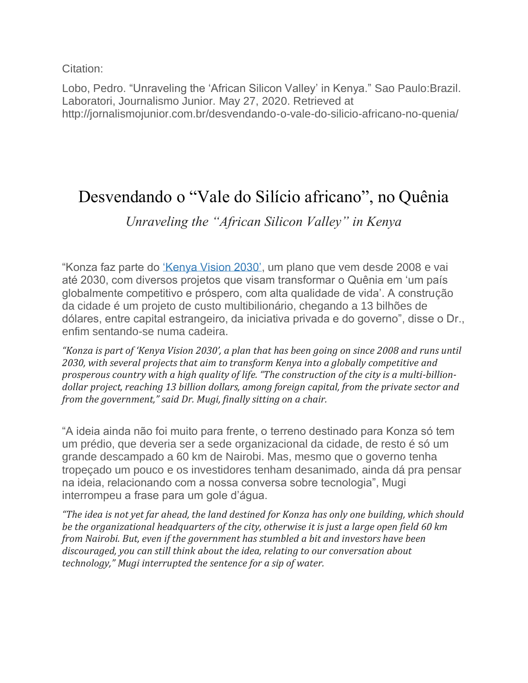Citation:

Lobo, Pedro. "Unraveling the 'African Silicon Valley' in Kenya." Sao Paulo:Brazil. Laboratori, Journalismo Junior. May 27, 2020. Retrieved at http://jornalismojunior.com.br/desvendando-o-vale-do-silicio-africano-no-quenia/

## Desvendando o "Vale do Silício africano", no Quênia

## *Unraveling the "African Silicon Valley" in Kenya*

"Konza faz parte do ['Kenya Vision 2030',](https://vision2030.go.ke/) um plano que vem desde 2008 e vai até 2030, com diversos projetos que visam transformar o Quênia em 'um país globalmente competitivo e próspero, com alta qualidade de vida'. A construção da cidade é um projeto de custo multibilionário, chegando a 13 bilhões de dólares, entre capital estrangeiro, da iniciativa privada e do governo", disse o Dr., enfim sentando-se numa cadeira.

*"Konza is part of 'Kenya Vision 2030', a plan that has been going on since 2008 and runs until 2030, with several projects that aim to transform Kenya into a globally competitive and prosperous country with a high quality of life. "The construction of the city is a multi-billiondollar project, reaching 13 billion dollars, among foreign capital, from the private sector and from the government," said Dr. Mugi, finally sitting on a chair.*

"A ideia ainda não foi muito para frente, o terreno destinado para Konza só tem um prédio, que deveria ser a sede organizacional da cidade, de resto é só um grande descampado a 60 km de Nairobi. Mas, mesmo que o governo tenha tropeçado um pouco e os investidores tenham desanimado, ainda dá pra pensar na ideia, relacionando com a nossa conversa sobre tecnologia", Mugi interrompeu a frase para um gole d'água.

*"The idea is not yet far ahead, the land destined for Konza has only one building, which should be the organizational headquarters of the city, otherwise it is just a large open field 60 km from Nairobi. But, even if the government has stumbled a bit and investors have been discouraged, you can still think about the idea, relating to our conversation about technology," Mugi interrupted the sentence for a sip of water.*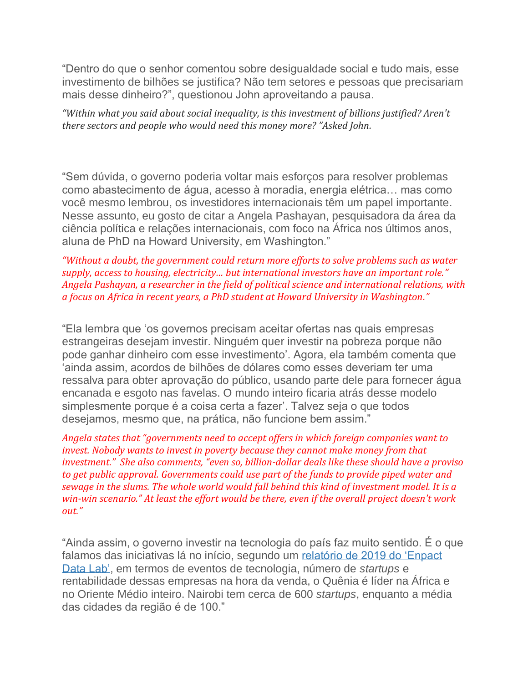"Dentro do que o senhor comentou sobre desigualdade social e tudo mais, esse investimento de bilhões se justifica? Não tem setores e pessoas que precisariam mais desse dinheiro?", questionou John aproveitando a pausa.

*"Within what you said about social inequality, is this investment of billions justified? Aren't there sectors and people who would need this money more? "Asked John.*

"Sem dúvida, o governo poderia voltar mais esforços para resolver problemas como abastecimento de água, acesso à moradia, energia elétrica… mas como você mesmo lembrou, os investidores internacionais têm um papel importante. Nesse assunto, eu gosto de citar a Angela Pashayan, pesquisadora da área da ciência política e relações internacionais, com foco na África nos últimos anos, aluna de PhD na Howard University, em Washington."

*"Without a doubt, the government could return more efforts to solve problems such as water supply, access to housing, electricity… but international investors have an important role." Angela Pashayan, a researcher in the field of political science and international relations, with a focus on Africa in recent years, a PhD student at Howard University in Washington."*

"Ela lembra que 'os governos precisam aceitar ofertas nas quais empresas estrangeiras desejam investir. Ninguém quer investir na pobreza porque não pode ganhar dinheiro com esse investimento'. Agora, ela também comenta que 'ainda assim, acordos de bilhões de dólares como esses deveriam ter uma ressalva para obter aprovação do público, usando parte dele para fornecer água encanada e esgoto nas favelas. O mundo inteiro ficaria atrás desse modelo simplesmente porque é a coisa certa a fazer'. Talvez seja o que todos desejamos, mesmo que, na prática, não funcione bem assim."

*Angela states that "governments need to accept offers in which foreign companies want to invest. Nobody wants to invest in poverty because they cannot make money from that investment." She also comments, "even so, billion-dollar deals like these should have a proviso to get public approval. Governments could use part of the funds to provide piped water and sewage in the slums. The whole world would fall behind this kind of investment model. It is a win-win scenario." At least the effort would be there, even if the overall project doesn't work out."*

"Ainda assim, o governo investir na tecnologia do país faz muito sentido. É o que falamos das iniciativas lá no início, segundo um [relatório de 2019 do 'Enpact](https://www.enpact.org/wp-content/uploads/2019/08/print-nairobi.pdf)  [Data Lab',](https://www.enpact.org/wp-content/uploads/2019/08/print-nairobi.pdf) em termos de eventos de tecnologia, número de *startups* e rentabilidade dessas empresas na hora da venda, o Quênia é líder na África e no Oriente Médio inteiro. Nairobi tem cerca de 600 *startups*, enquanto a média das cidades da região é de 100."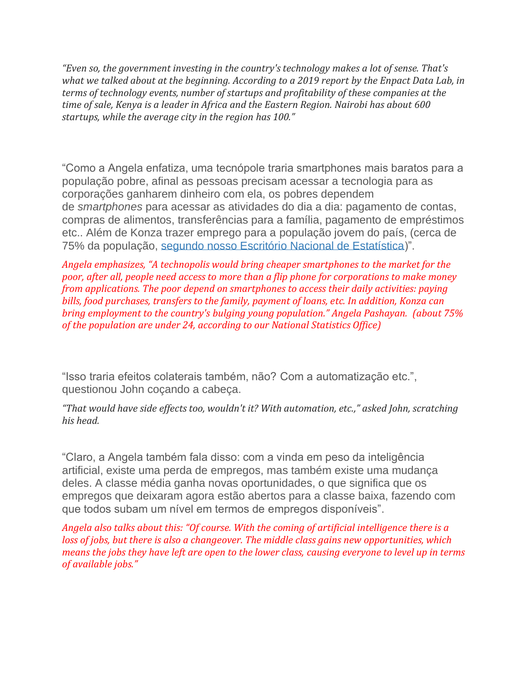*"Even so, the government investing in the country's technology makes a lot of sense. That's what we talked about at the beginning. According to a 2019 report by the Enpact Data Lab, in terms of technology events, number of startups and profitability of these companies at the time of sale, Kenya is a leader in Africa and the Eastern Region. Nairobi has about 600 startups, while the average city in the region has 100."*

"Como a Angela enfatiza, uma tecnópole traria smartphones mais baratos para a população pobre, afinal as pessoas precisam acessar a tecnologia para as corporações ganharem dinheiro com ela, os pobres dependem de *smartphones* para acessar as atividades do dia a dia: pagamento de contas, compras de alimentos, transferências para a família, pagamento de empréstimos etc.. Além de Konza trazer emprego para a população jovem do país, (cerca de 75% da população, [segundo nosso Escritório Nacional de Estatística\)](https://kenyanwallstreet.com/census-2019-datashows-kenya-has-a-youthful-rural-population/)".

*Angela emphasizes, "A technopolis would bring cheaper smartphones to the market for the poor, after all, people need access to more than a flip phone for corporations to make money from applications. The poor depend on smartphones to access their daily activities: paying bills, food purchases, transfers to the family, payment of loans, etc. In addition, Konza can bring employment to the country's bulging young population." Angela Pashayan. (about 75% of the population are under 24, according to our National Statistics Office)*

"Isso traria efeitos colaterais também, não? Com a automatização etc.", questionou John coçando a cabeça.

*"That would have side effects too, wouldn't it? With automation, etc.," asked John, scratching his head.*

"Claro, a Angela também fala disso: com a vinda em peso da inteligência artificial, existe uma perda de empregos, mas também existe uma mudança deles. A classe média ganha novas oportunidades, o que significa que os empregos que deixaram agora estão abertos para a classe baixa, fazendo com que todos subam um nível em termos de empregos disponíveis".

*Angela also talks about this: "Of course. With the coming of artificial intelligence there is a loss of jobs, but there is also a changeover. The middle class gains new opportunities, which means the jobs they have left are open to the lower class, causing everyone to level up in terms of available jobs."*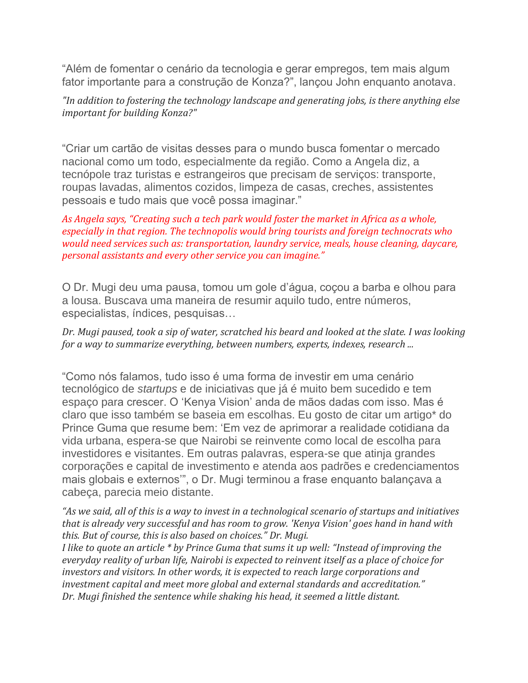"Além de fomentar o cenário da tecnologia e gerar empregos, tem mais algum fator importante para a construção de Konza?", lançou John enquanto anotava.

*"In addition to fostering the technology landscape and generating jobs, is there anything else important for building Konza?"*

"Criar um cartão de visitas desses para o mundo busca fomentar o mercado nacional como um todo, especialmente da região. Como a Angela diz, a tecnópole traz turistas e estrangeiros que precisam de serviços: transporte, roupas lavadas, alimentos cozidos, limpeza de casas, creches, assistentes pessoais e tudo mais que você possa imaginar."

*As Angela says, "Creating such a tech park would foster the market in Africa as a whole, especially in that region. The technopolis would bring tourists and foreign technocrats who would need services such as: transportation, laundry service, meals, house cleaning, daycare, personal assistants and every other service you can imagine."*

O Dr. Mugi deu uma pausa, tomou um gole d'água, coçou a barba e olhou para a lousa. Buscava uma maneira de resumir aquilo tudo, entre números, especialistas, índices, pesquisas…

*Dr. Mugi paused, took a sip of water, scratched his beard and looked at the slate. I was looking for a way to summarize everything, between numbers, experts, indexes, research ...*

"Como nós falamos, tudo isso é uma forma de investir em uma cenário tecnológico de *startups* e de iniciativas que já é muito bem sucedido e tem espaço para crescer. O 'Kenya Vision' anda de mãos dadas com isso. Mas é claro que isso também se baseia em escolhas. Eu gosto de citar um artigo\* do Prince Guma que resume bem: 'Em vez de aprimorar a realidade cotidiana da vida urbana, espera-se que Nairobi se reinvente como local de escolha para investidores e visitantes. Em outras palavras, espera-se que atinja grandes corporações e capital de investimento e atenda aos padrões e credenciamentos mais globais e externos'", o Dr. Mugi terminou a frase enquanto balançava a cabeça, parecia meio distante.

*"As we said, all of this is a way to invest in a technological scenario of startups and initiatives that is already very successful and has room to grow. 'Kenya Vision' goes hand in hand with this. But of course, this is also based on choices." Dr. Mugi.*

*I like to quote an article \* by Prince Guma that sums it up well: "Instead of improving the everyday reality of urban life, Nairobi is expected to reinvent itself as a place of choice for investors and visitors. In other words, it is expected to reach large corporations and investment capital and meet more global and external standards and accreditation." Dr. Mugi finished the sentence while shaking his head, it seemed a little distant.*